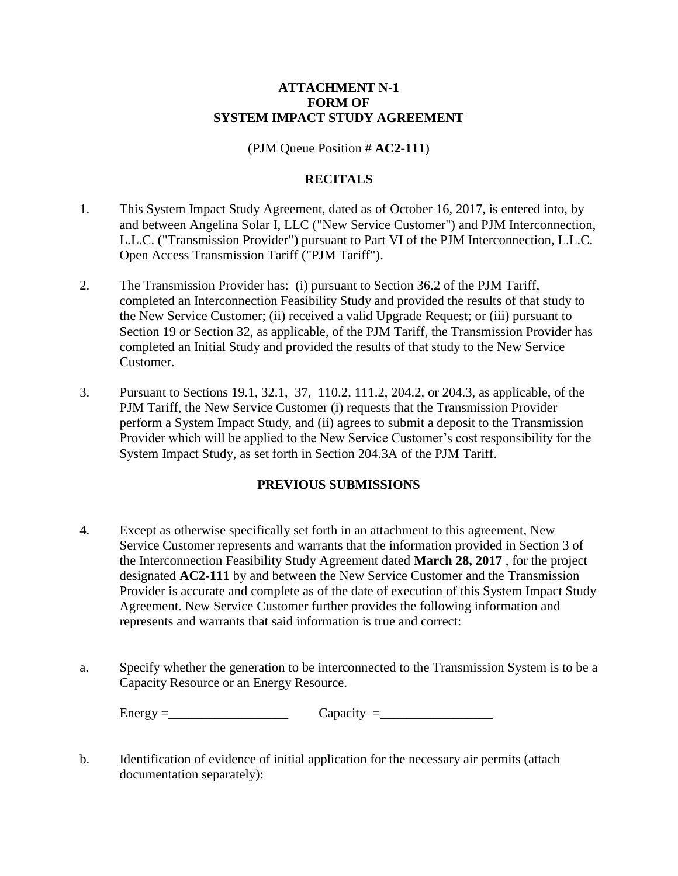## **ATTACHMENT N-1 FORM OF SYSTEM IMPACT STUDY AGREEMENT**

(PJM Queue Position # **AC2-111**)

## **RECITALS**

- 1. This System Impact Study Agreement, dated as of October 16, 2017, is entered into, by and between Angelina Solar I, LLC ("New Service Customer") and PJM Interconnection, L.L.C. ("Transmission Provider") pursuant to Part VI of the PJM Interconnection, L.L.C. Open Access Transmission Tariff ("PJM Tariff").
- 2. The Transmission Provider has: (i) pursuant to Section 36.2 of the PJM Tariff, completed an Interconnection Feasibility Study and provided the results of that study to the New Service Customer; (ii) received a valid Upgrade Request; or (iii) pursuant to Section 19 or Section 32, as applicable, of the PJM Tariff, the Transmission Provider has completed an Initial Study and provided the results of that study to the New Service Customer.
- 3. Pursuant to Sections 19.1, 32.1, 37, 110.2, 111.2, 204.2, or 204.3, as applicable, of the PJM Tariff, the New Service Customer (i) requests that the Transmission Provider perform a System Impact Study, and (ii) agrees to submit a deposit to the Transmission Provider which will be applied to the New Service Customer's cost responsibility for the System Impact Study, as set forth in Section 204.3A of the PJM Tariff.

## **PREVIOUS SUBMISSIONS**

- 4. Except as otherwise specifically set forth in an attachment to this agreement, New Service Customer represents and warrants that the information provided in Section 3 of the Interconnection Feasibility Study Agreement dated **March 28, 2017** , for the project designated **AC2-111** by and between the New Service Customer and the Transmission Provider is accurate and complete as of the date of execution of this System Impact Study Agreement. New Service Customer further provides the following information and represents and warrants that said information is true and correct:
- a. Specify whether the generation to be interconnected to the Transmission System is to be a Capacity Resource or an Energy Resource.

| Energy |  |
|--------|--|
| ັັ     |  |

b. Identification of evidence of initial application for the necessary air permits (attach documentation separately):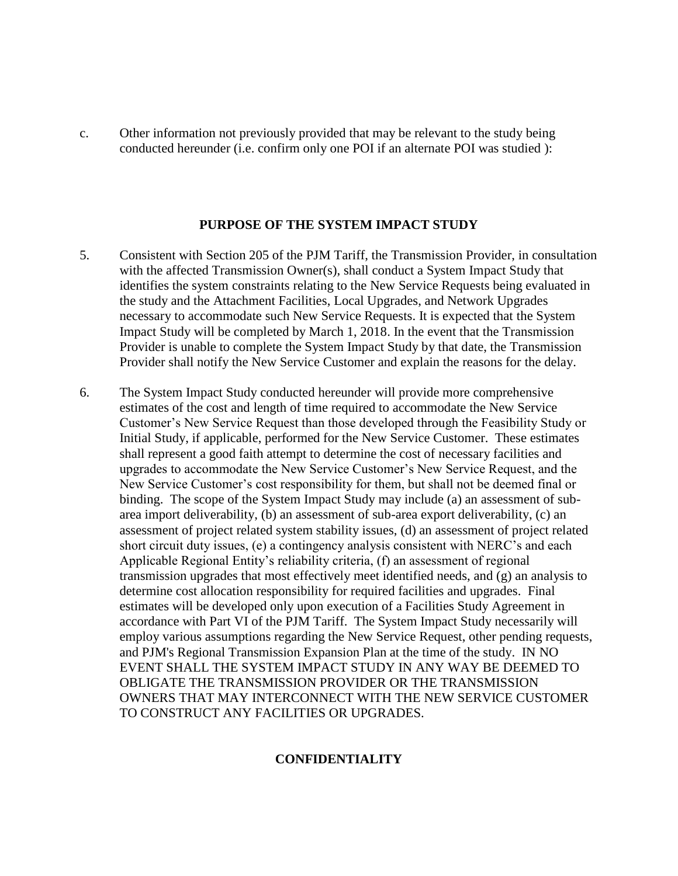c. Other information not previously provided that may be relevant to the study being conducted hereunder (i.e. confirm only one POI if an alternate POI was studied ):

#### **PURPOSE OF THE SYSTEM IMPACT STUDY**

- 5. Consistent with Section 205 of the PJM Tariff, the Transmission Provider, in consultation with the affected Transmission Owner(s), shall conduct a System Impact Study that identifies the system constraints relating to the New Service Requests being evaluated in the study and the Attachment Facilities, Local Upgrades, and Network Upgrades necessary to accommodate such New Service Requests. It is expected that the System Impact Study will be completed by March 1, 2018. In the event that the Transmission Provider is unable to complete the System Impact Study by that date, the Transmission Provider shall notify the New Service Customer and explain the reasons for the delay.
- 6. The System Impact Study conducted hereunder will provide more comprehensive estimates of the cost and length of time required to accommodate the New Service Customer's New Service Request than those developed through the Feasibility Study or Initial Study, if applicable, performed for the New Service Customer. These estimates shall represent a good faith attempt to determine the cost of necessary facilities and upgrades to accommodate the New Service Customer's New Service Request, and the New Service Customer's cost responsibility for them, but shall not be deemed final or binding. The scope of the System Impact Study may include (a) an assessment of subarea import deliverability, (b) an assessment of sub-area export deliverability, (c) an assessment of project related system stability issues, (d) an assessment of project related short circuit duty issues, (e) a contingency analysis consistent with NERC's and each Applicable Regional Entity's reliability criteria, (f) an assessment of regional transmission upgrades that most effectively meet identified needs, and (g) an analysis to determine cost allocation responsibility for required facilities and upgrades. Final estimates will be developed only upon execution of a Facilities Study Agreement in accordance with Part VI of the PJM Tariff. The System Impact Study necessarily will employ various assumptions regarding the New Service Request, other pending requests, and PJM's Regional Transmission Expansion Plan at the time of the study. IN NO EVENT SHALL THE SYSTEM IMPACT STUDY IN ANY WAY BE DEEMED TO OBLIGATE THE TRANSMISSION PROVIDER OR THE TRANSMISSION OWNERS THAT MAY INTERCONNECT WITH THE NEW SERVICE CUSTOMER TO CONSTRUCT ANY FACILITIES OR UPGRADES.

#### **CONFIDENTIALITY**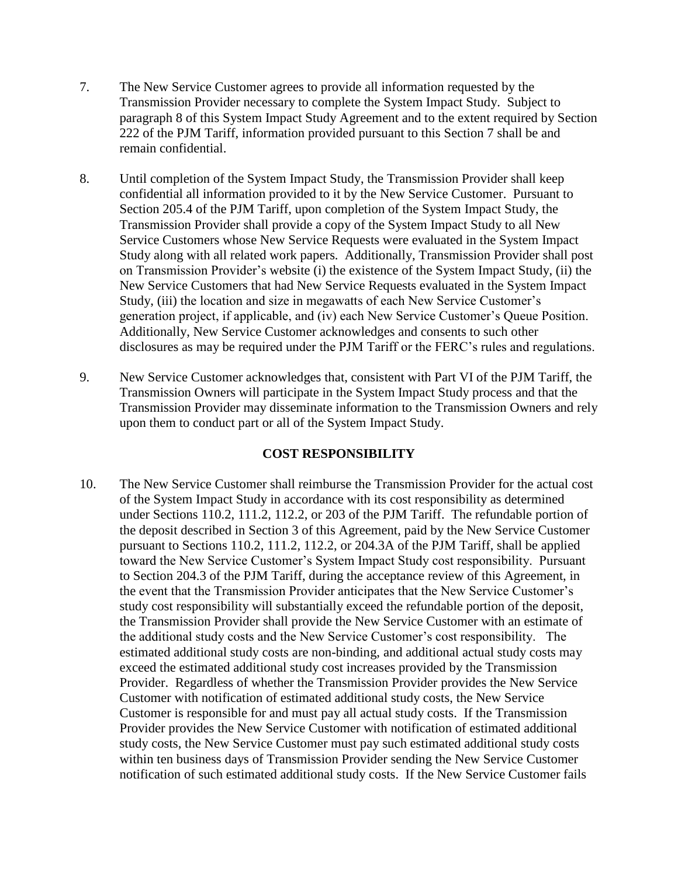- 7. The New Service Customer agrees to provide all information requested by the Transmission Provider necessary to complete the System Impact Study. Subject to paragraph 8 of this System Impact Study Agreement and to the extent required by Section 222 of the PJM Tariff, information provided pursuant to this Section 7 shall be and remain confidential.
- 8. Until completion of the System Impact Study, the Transmission Provider shall keep confidential all information provided to it by the New Service Customer. Pursuant to Section 205.4 of the PJM Tariff, upon completion of the System Impact Study, the Transmission Provider shall provide a copy of the System Impact Study to all New Service Customers whose New Service Requests were evaluated in the System Impact Study along with all related work papers. Additionally, Transmission Provider shall post on Transmission Provider's website (i) the existence of the System Impact Study, (ii) the New Service Customers that had New Service Requests evaluated in the System Impact Study, (iii) the location and size in megawatts of each New Service Customer's generation project, if applicable, and (iv) each New Service Customer's Queue Position. Additionally, New Service Customer acknowledges and consents to such other disclosures as may be required under the PJM Tariff or the FERC's rules and regulations.
- 9. New Service Customer acknowledges that, consistent with Part VI of the PJM Tariff, the Transmission Owners will participate in the System Impact Study process and that the Transmission Provider may disseminate information to the Transmission Owners and rely upon them to conduct part or all of the System Impact Study.

## **COST RESPONSIBILITY**

10. The New Service Customer shall reimburse the Transmission Provider for the actual cost of the System Impact Study in accordance with its cost responsibility as determined under Sections 110.2, 111.2, 112.2, or 203 of the PJM Tariff. The refundable portion of the deposit described in Section 3 of this Agreement, paid by the New Service Customer pursuant to Sections 110.2, 111.2, 112.2, or 204.3A of the PJM Tariff, shall be applied toward the New Service Customer's System Impact Study cost responsibility. Pursuant to Section 204.3 of the PJM Tariff, during the acceptance review of this Agreement, in the event that the Transmission Provider anticipates that the New Service Customer's study cost responsibility will substantially exceed the refundable portion of the deposit, the Transmission Provider shall provide the New Service Customer with an estimate of the additional study costs and the New Service Customer's cost responsibility. The estimated additional study costs are non-binding, and additional actual study costs may exceed the estimated additional study cost increases provided by the Transmission Provider. Regardless of whether the Transmission Provider provides the New Service Customer with notification of estimated additional study costs, the New Service Customer is responsible for and must pay all actual study costs. If the Transmission Provider provides the New Service Customer with notification of estimated additional study costs, the New Service Customer must pay such estimated additional study costs within ten business days of Transmission Provider sending the New Service Customer notification of such estimated additional study costs. If the New Service Customer fails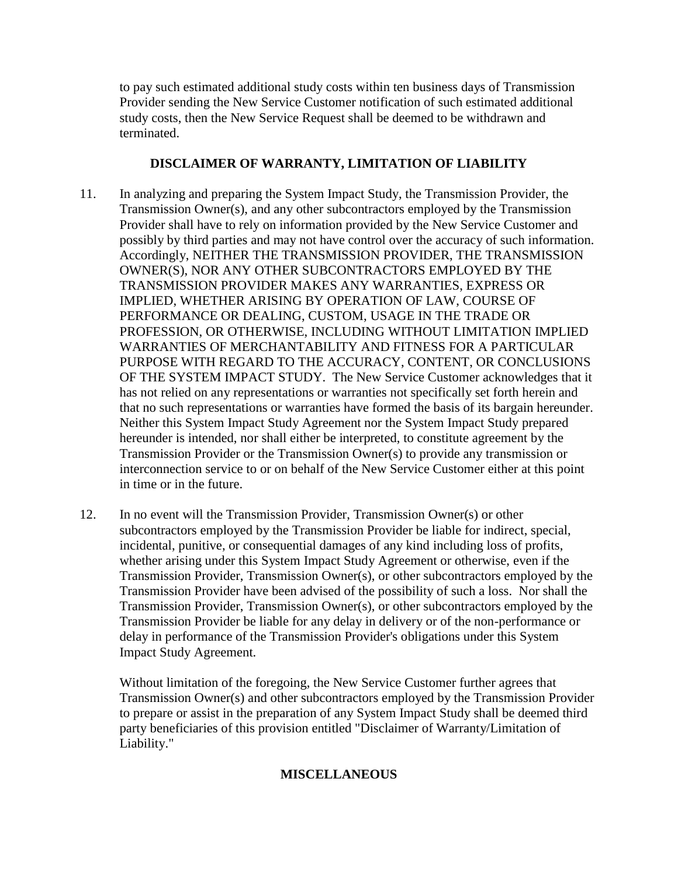to pay such estimated additional study costs within ten business days of Transmission Provider sending the New Service Customer notification of such estimated additional study costs, then the New Service Request shall be deemed to be withdrawn and terminated.

# **DISCLAIMER OF WARRANTY, LIMITATION OF LIABILITY**

- 11. In analyzing and preparing the System Impact Study, the Transmission Provider, the Transmission Owner(s), and any other subcontractors employed by the Transmission Provider shall have to rely on information provided by the New Service Customer and possibly by third parties and may not have control over the accuracy of such information. Accordingly, NEITHER THE TRANSMISSION PROVIDER, THE TRANSMISSION OWNER(S), NOR ANY OTHER SUBCONTRACTORS EMPLOYED BY THE TRANSMISSION PROVIDER MAKES ANY WARRANTIES, EXPRESS OR IMPLIED, WHETHER ARISING BY OPERATION OF LAW, COURSE OF PERFORMANCE OR DEALING, CUSTOM, USAGE IN THE TRADE OR PROFESSION, OR OTHERWISE, INCLUDING WITHOUT LIMITATION IMPLIED WARRANTIES OF MERCHANTABILITY AND FITNESS FOR A PARTICULAR PURPOSE WITH REGARD TO THE ACCURACY, CONTENT, OR CONCLUSIONS OF THE SYSTEM IMPACT STUDY. The New Service Customer acknowledges that it has not relied on any representations or warranties not specifically set forth herein and that no such representations or warranties have formed the basis of its bargain hereunder. Neither this System Impact Study Agreement nor the System Impact Study prepared hereunder is intended, nor shall either be interpreted, to constitute agreement by the Transmission Provider or the Transmission Owner(s) to provide any transmission or interconnection service to or on behalf of the New Service Customer either at this point in time or in the future.
- 12. In no event will the Transmission Provider, Transmission Owner(s) or other subcontractors employed by the Transmission Provider be liable for indirect, special, incidental, punitive, or consequential damages of any kind including loss of profits, whether arising under this System Impact Study Agreement or otherwise, even if the Transmission Provider, Transmission Owner(s), or other subcontractors employed by the Transmission Provider have been advised of the possibility of such a loss. Nor shall the Transmission Provider, Transmission Owner(s), or other subcontractors employed by the Transmission Provider be liable for any delay in delivery or of the non-performance or delay in performance of the Transmission Provider's obligations under this System Impact Study Agreement.

Without limitation of the foregoing, the New Service Customer further agrees that Transmission Owner(s) and other subcontractors employed by the Transmission Provider to prepare or assist in the preparation of any System Impact Study shall be deemed third party beneficiaries of this provision entitled "Disclaimer of Warranty/Limitation of Liability."

## **MISCELLANEOUS**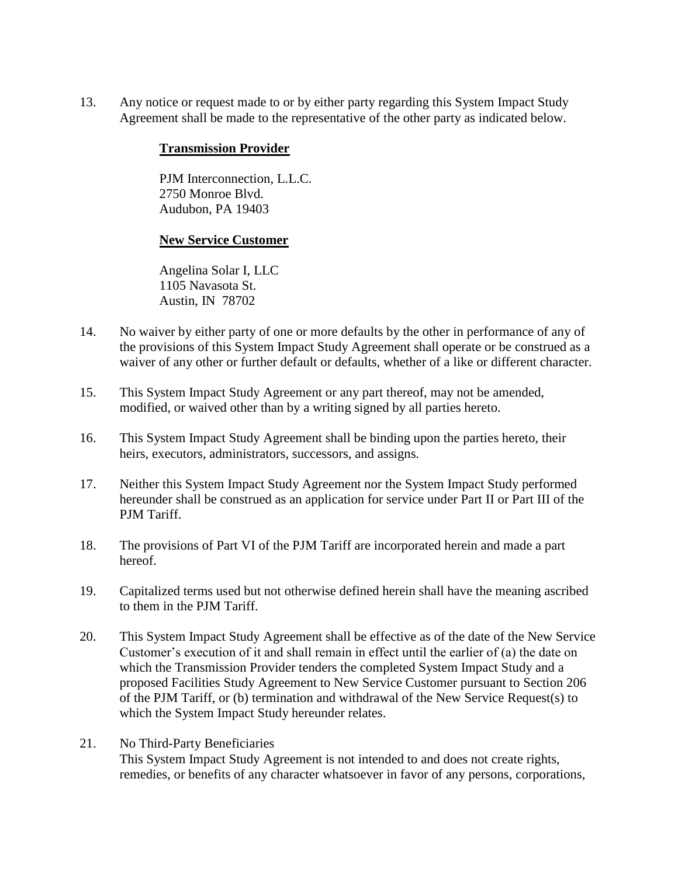13. Any notice or request made to or by either party regarding this System Impact Study Agreement shall be made to the representative of the other party as indicated below.

#### **Transmission Provider**

PJM Interconnection, L.L.C. 2750 Monroe Blvd. Audubon, PA 19403

## **New Service Customer**

Angelina Solar I, LLC 1105 Navasota St. Austin, IN 78702

- 14. No waiver by either party of one or more defaults by the other in performance of any of the provisions of this System Impact Study Agreement shall operate or be construed as a waiver of any other or further default or defaults, whether of a like or different character.
- 15. This System Impact Study Agreement or any part thereof, may not be amended, modified, or waived other than by a writing signed by all parties hereto.
- 16. This System Impact Study Agreement shall be binding upon the parties hereto, their heirs, executors, administrators, successors, and assigns.
- 17. Neither this System Impact Study Agreement nor the System Impact Study performed hereunder shall be construed as an application for service under Part II or Part III of the PJM Tariff.
- 18. The provisions of Part VI of the PJM Tariff are incorporated herein and made a part hereof.
- 19. Capitalized terms used but not otherwise defined herein shall have the meaning ascribed to them in the PJM Tariff.
- 20. This System Impact Study Agreement shall be effective as of the date of the New Service Customer's execution of it and shall remain in effect until the earlier of (a) the date on which the Transmission Provider tenders the completed System Impact Study and a proposed Facilities Study Agreement to New Service Customer pursuant to Section 206 of the PJM Tariff, or (b) termination and withdrawal of the New Service Request(s) to which the System Impact Study hereunder relates.
- 21. No Third-Party Beneficiaries This System Impact Study Agreement is not intended to and does not create rights, remedies, or benefits of any character whatsoever in favor of any persons, corporations,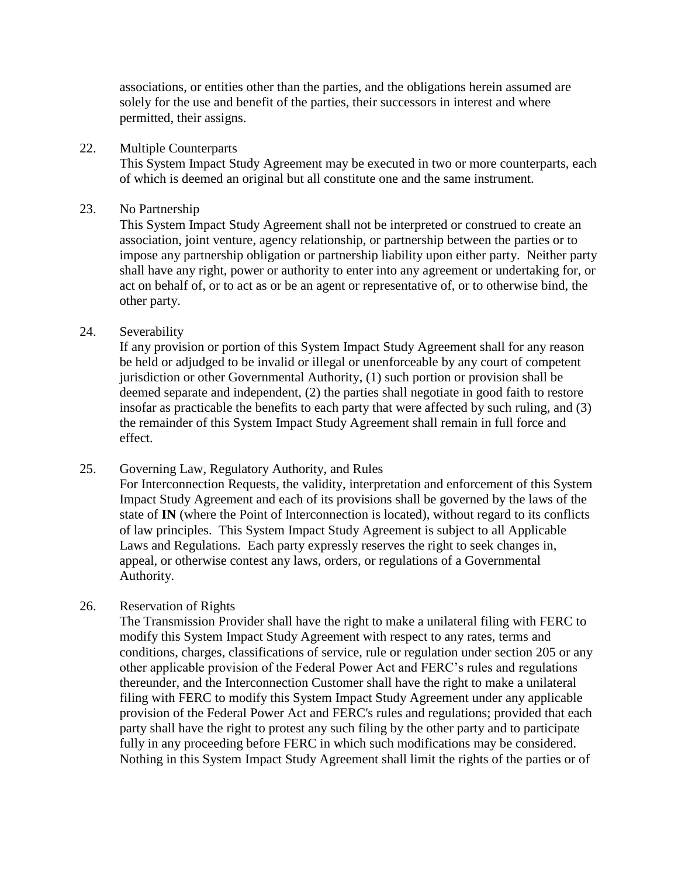associations, or entities other than the parties, and the obligations herein assumed are solely for the use and benefit of the parties, their successors in interest and where permitted, their assigns.

#### 22. Multiple Counterparts

This System Impact Study Agreement may be executed in two or more counterparts, each of which is deemed an original but all constitute one and the same instrument.

#### 23. No Partnership

This System Impact Study Agreement shall not be interpreted or construed to create an association, joint venture, agency relationship, or partnership between the parties or to impose any partnership obligation or partnership liability upon either party. Neither party shall have any right, power or authority to enter into any agreement or undertaking for, or act on behalf of, or to act as or be an agent or representative of, or to otherwise bind, the other party.

## 24. Severability

If any provision or portion of this System Impact Study Agreement shall for any reason be held or adjudged to be invalid or illegal or unenforceable by any court of competent jurisdiction or other Governmental Authority, (1) such portion or provision shall be deemed separate and independent, (2) the parties shall negotiate in good faith to restore insofar as practicable the benefits to each party that were affected by such ruling, and (3) the remainder of this System Impact Study Agreement shall remain in full force and effect.

#### 25. Governing Law, Regulatory Authority, and Rules

For Interconnection Requests, the validity, interpretation and enforcement of this System Impact Study Agreement and each of its provisions shall be governed by the laws of the state of **IN** (where the Point of Interconnection is located), without regard to its conflicts of law principles. This System Impact Study Agreement is subject to all Applicable Laws and Regulations. Each party expressly reserves the right to seek changes in, appeal, or otherwise contest any laws, orders, or regulations of a Governmental Authority.

#### 26. Reservation of Rights

The Transmission Provider shall have the right to make a unilateral filing with FERC to modify this System Impact Study Agreement with respect to any rates, terms and conditions, charges, classifications of service, rule or regulation under section 205 or any other applicable provision of the Federal Power Act and FERC's rules and regulations thereunder, and the Interconnection Customer shall have the right to make a unilateral filing with FERC to modify this System Impact Study Agreement under any applicable provision of the Federal Power Act and FERC's rules and regulations; provided that each party shall have the right to protest any such filing by the other party and to participate fully in any proceeding before FERC in which such modifications may be considered. Nothing in this System Impact Study Agreement shall limit the rights of the parties or of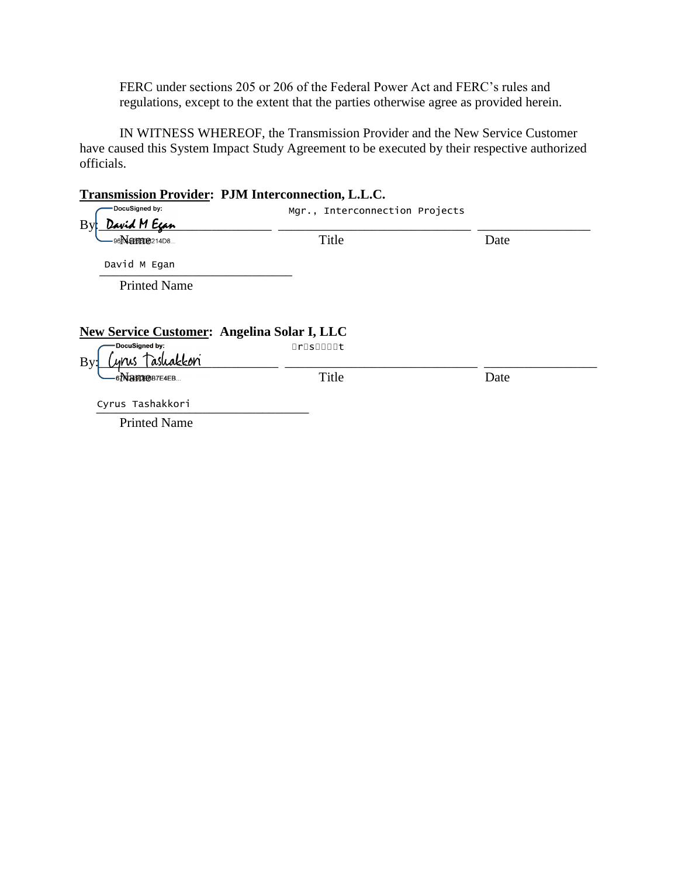FERC under sections 205 or 206 of the Federal Power Act and FERC's rules and regulations, except to the extent that the parties otherwise agree as provided herein.

IN WITNESS WHEREOF, the Transmission Provider and the New Service Customer have caused this System Impact Study Agreement to be executed by their respective authorized officials.

# **Transmission Provider: PJM Interconnection, L.L.C.**

| DocuSigned by:                                     | Mgr., Interconnection Projects |      |
|----------------------------------------------------|--------------------------------|------|
| David M Egan<br>$\mathbf{B}$                       |                                |      |
| .96 N22 BELO 214 D8                                | Title                          | Date |
| David M Egan                                       |                                |      |
| <b>Printed Name</b>                                |                                |      |
|                                                    |                                |      |
| <b>New Service Customer: Angelina Solar I, LLC</b> |                                |      |
| DocuSigned by:                                     | Iright                         |      |
| shakkon<br>$\mathbf{By:}$                          |                                |      |
| 6Name8B7E4EB                                       | Title                          | Date |
| Cyrus Tashakkori                                   |                                |      |
| <b>Printed Name</b>                                |                                |      |